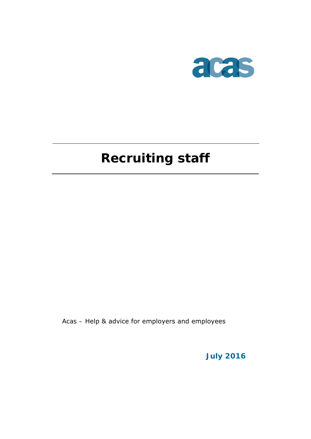

# **Recruiting staff**

Acas – Help & advice for employers and employees

**July 2016**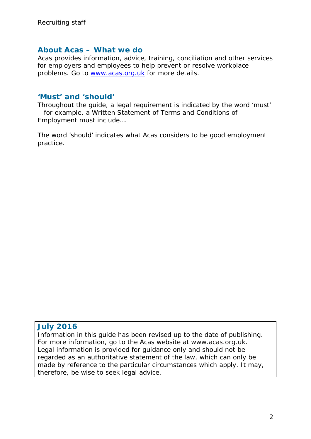#### **About Acas – What we do**

Acas provides information, advice, training, conciliation and other services for employers and employees to help prevent or resolve workplace problems. Go to [www.acas.org.uk](http://www.acas.org.uk/) for more details.

### **'Must' and 'should'**

Throughout the guide, a legal requirement is indicated by the word 'must' – for example, a Written Statement of Terms and Conditions of Employment must include….

The word 'should' indicates what Acas considers to be good employment practice.

### **July 2016**

Information in this guide has been revised up to the date of publishing. For more information, go to the Acas website at www.acas.org.uk. Legal information is provided for guidance only and should not be regarded as an authoritative statement of the law, which can only be made by reference to the particular circumstances which apply. It may, therefore, be wise to seek legal advice.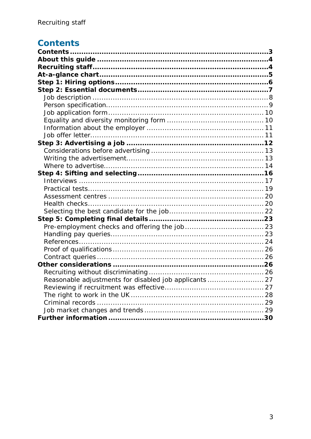## <span id="page-2-0"></span>**Contents**

| Reasonable adjustments for disabled job applicants  27 |  |
|--------------------------------------------------------|--|
|                                                        |  |
|                                                        |  |
|                                                        |  |
|                                                        |  |
|                                                        |  |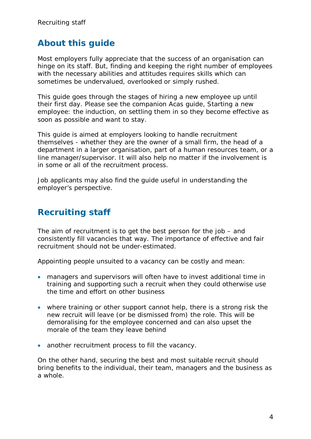## <span id="page-3-0"></span>**About this guide**

Most employers fully appreciate that the success of an organisation can hinge on its staff. But, finding and keeping the right number of employees with the necessary abilities and attitudes requires skills which can sometimes be undervalued, overlooked or simply rushed.

This guide goes through the stages of hiring a new employee up until their first day. Please see the companion Acas guide, Starting a new employee: the induction, on settling them in so they become effective as soon as possible and want to stay.

This guide is aimed at employers looking to handle recruitment themselves - whether they are the owner of a small firm, the head of a department in a larger organisation, part of a human resources team, or a line manager/supervisor. It will also help no matter if the involvement is in some or all of the recruitment process.

Job applicants may also find the guide useful in understanding the employer's perspective.

## <span id="page-3-1"></span>**Recruiting staff**

The aim of recruitment is to get the best person for the job – and consistently fill vacancies that way. The importance of effective and fair recruitment should not be under-estimated.

Appointing people unsuited to a vacancy can be costly and mean:

- managers and supervisors will often have to invest additional time in training and supporting such a recruit when they could otherwise use the time and effort on other business
- where training or other support cannot help, there is a strong risk the new recruit will leave (or be dismissed from) the role. This will be demoralising for the employee concerned and can also upset the morale of the team they leave behind
- another recruitment process to fill the vacancy.

On the other hand, securing the best and most suitable recruit should bring benefits to the individual, their team, managers and the business as a whole.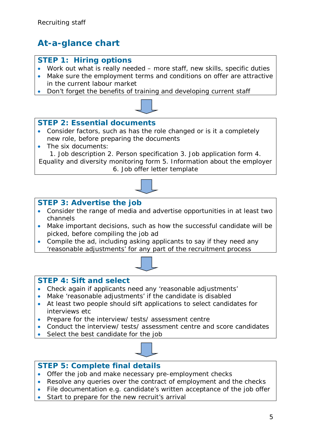## <span id="page-4-0"></span>**At-a-glance chart**

## **STEP 1: Hiring options**

- Work out what is really needed more staff, new skills, specific duties
- Make sure the employment terms and conditions on offer are attractive in the current labour market
- Don't forget the benefits of training and developing current staff



## **STEP 2: Essential documents**

- Consider factors, such as has the role changed or is it a completely new role, before preparing the documents
- The six documents:

1. Job description 2. Person specification 3. Job application form 4. Equality and diversity monitoring form 5. Information about the employer 6. Job offer letter template



## **STEP 3: Advertise the job**

- Consider the range of media and advertise opportunities in at least two channels
- Make important decisions, such as how the successful candidate will be picked, before compiling the job ad
- Compile the ad, including asking applicants to say if they need any 'reasonable adjustments' for any part of the recruitment process



### **STEP 4: Sift and select**

- Check again if applicants need any 'reasonable adjustments'
- Make 'reasonable adjustments' if the candidate is disabled
- At least two people should sift applications to select candidates for interviews etc
- Prepare for the interview/ tests/ assessment centre
- Conduct the interview/ tests/ assessment centre and score candidates
- Select the best candidate for the job



## **STEP 5: Complete final details**

- Offer the job and make necessary pre-employment checks
- Resolve any queries over the contract of employment and the checks
- File documentation e.g. candidate's written acceptance of the job offer
- Start to prepare for the new recruit's arrival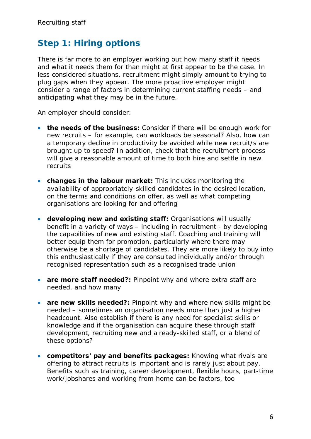## <span id="page-5-0"></span>**Step 1: Hiring options**

There is far more to an employer working out how many staff it needs and what it needs them for than might at first appear to be the case. In less considered situations, recruitment might simply amount to trying to plug gaps when they appear. The more proactive employer might consider a range of factors in determining current staffing needs – and anticipating what they may be in the future.

An employer should consider:

- **the needs of the business:** Consider if there will be enough work for new recruits – for example, can workloads be seasonal? Also, how can a temporary decline in productivity be avoided while new recruit/s are brought up to speed? In addition, check that the recruitment process will give a reasonable amount of time to both hire and settle in new recruits
- **changes in the labour market:** This includes monitoring the availability of appropriately-skilled candidates in the desired location, on the terms and conditions on offer, as well as what competing organisations are looking for and offering
- **developing new and existing staff:** Organisations will usually benefit in a variety of ways – including in recruitment - by developing the capabilities of new and existing staff. Coaching and training will better equip them for promotion, particularly where there may otherwise be a shortage of candidates. They are more likely to buy into this enthusiastically if they are consulted individually and/or through recognised representation such as a recognised trade union
- **are more staff needed?:** Pinpoint why and where extra staff are needed, and how many
- **are new skills needed?:** Pinpoint why and where new skills might be needed – sometimes an organisation needs more than just a higher headcount. Also establish if there is any need for specialist skills or knowledge and if the organisation can acquire these through staff development, recruiting new and already-skilled staff, or a blend of these options?
- **competitors' pay and benefits packages:** Knowing what rivals are offering to attract recruits is important and is rarely just about pay. Benefits such as training, career development, flexible hours, part-time work/jobshares and working from home can be factors, too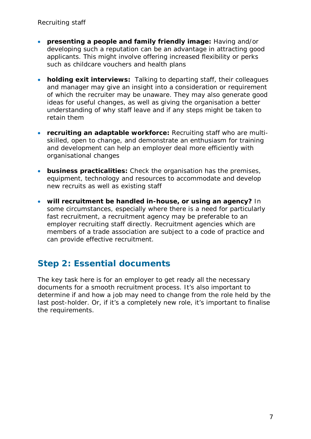- **presenting a people and family friendly image:** Having and/or developing such a reputation can be an advantage in attracting good applicants. This might involve offering increased flexibility or perks such as childcare vouchers and health plans
- **holding exit interviews:** Talking to departing staff, their colleagues and manager may give an insight into a consideration or requirement of which the recruiter may be unaware. They may also generate good ideas for useful changes, as well as giving the organisation a better understanding of why staff leave and if any steps might be taken to retain them
- **recruiting an adaptable workforce:** Recruiting staff who are multiskilled, open to change, and demonstrate an enthusiasm for training and development can help an employer deal more efficiently with organisational changes
- **business practicalities:** Check the organisation has the premises, equipment, technology and resources to accommodate and develop new recruits as well as existing staff
- **will recruitment be handled in-house, or using an agency?** In some circumstances, especially where there is a need for particularly fast recruitment, a recruitment agency may be preferable to an employer recruiting staff directly. Recruitment agencies which are members of a trade association are subject to a code of practice and can provide effective recruitment.

## <span id="page-6-0"></span>**Step 2: Essential documents**

The key task here is for an employer to get ready all the necessary documents for a smooth recruitment process. It's also important to determine if and how a job may need to change from the role held by the last post-holder. Or, if it's a completely new role, it's important to finalise the requirements.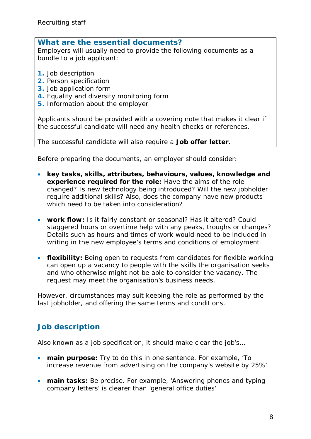#### **What are the essential documents?**

Employers will usually need to provide the following documents as a bundle to a job applicant:

- **1.** Job description
- **2.** Person specification
- **3.** Job application form
- **4.** Equality and diversity monitoring form
- **5.** Information about the employer

Applicants should be provided with a covering note that makes it clear if the successful candidate will need any health checks or references.

The successful candidate will also require a **Job offer letter**.

Before preparing the documents, an employer should consider:

- **key tasks, skills, attributes, behaviours, values, knowledge and experience required for the role:** Have the aims of the role changed? Is new technology being introduced? Will the new jobholder require additional skills? Also, does the company have new products which need to be taken into consideration?
- **work flow:** Is it fairly constant or seasonal? Has it altered? Could staggered hours or overtime help with any peaks, troughs or changes? Details such as hours and times of work would need to be included in writing in the new employee's terms and conditions of employment
- **flexibility:** Being open to requests from candidates for flexible working can open up a vacancy to people with the skills the organisation seeks and who otherwise might not be able to consider the vacancy. The request may meet the organisation's business needs.

However, circumstances may suit keeping the role as performed by the last jobholder, and offering the same terms and conditions.

## <span id="page-7-0"></span>**Job description**

Also known as a job specification, it should make clear the job's…

- **main purpose:** Try to do this in one sentence. For example, 'To increase revenue from advertising on the company's website by 25%'
- **main tasks:** Be precise. For example, 'Answering phones and typing company letters' is clearer than 'general office duties'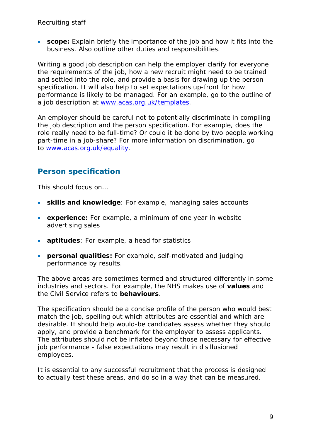• **scope:** Explain briefly the importance of the job and how it fits into the business. Also outline other duties and responsibilities.

Writing a good job description can help the employer clarify for everyone the requirements of the job, how a new recruit might need to be trained and settled into the role, and provide a basis for drawing up the person specification. It will also help to set expectations up-front for how performance is likely to be managed. For an example, go to the outline of a job description at [www.acas.org.uk/templates.](http://www.acas.org.uk/templates)

An employer should be careful not to potentially discriminate in compiling the job description and the person specification. For example, does the role really need to be full-time? Or could it be done by two people working part-time in a job-share? For more information on discrimination, go to [www.acas.org.uk/equality.](http://www.acas.org.uk/equality)

## <span id="page-8-0"></span>**Person specification**

This should focus on…

- **skills and knowledge**: For example, managing sales accounts
- **experience:** For example, a minimum of one year in website advertising sales
- **aptitudes**: For example, a head for statistics
- **personal qualities:** For example, self-motivated and judging performance by results.

The above areas are sometimes termed and structured differently in some industries and sectors. For example, the NHS makes use of **values** and the Civil Service refers to **behaviours**.

The specification should be a concise profile of the person who would best match the job, spelling out which attributes are essential and which are desirable. It should help would-be candidates assess whether they should apply, and provide a benchmark for the employer to assess applicants. The attributes should not be inflated beyond those necessary for effective job performance - false expectations may result in disillusioned employees.

It is essential to any successful recruitment that the process is designed to actually test these areas, and do so in a way that can be measured.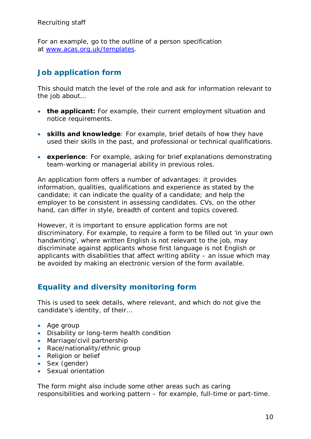For an example, go to the outline of a person specification at [www.acas.org.uk/templates.](http://www.acas.org.uk/templates)

## <span id="page-9-0"></span>**Job application form**

This should match the level of the role and ask for information relevant to the job about...

- **the applicant:** For example, their current employment situation and notice requirements.
- **skills and knowledge**: For example, brief details of how they have used their skills in the past, and professional or technical qualifications.
- **experience**: For example, asking for brief explanations demonstrating team-working or managerial ability in previous roles.

An application form offers a number of advantages: it provides information, qualities, qualifications and experience as stated by the candidate; it can indicate the quality of a candidate; and help the employer to be consistent in assessing candidates. CVs, on the other hand, can differ in style, breadth of content and topics covered.

However, it is important to ensure application forms are not discriminatory. For example, to require a form to be filled out 'in your own handwriting', where written English is not relevant to the job, may discriminate against applicants whose first language is not English or applicants with disabilities that affect writing ability – an issue which may be avoided by making an electronic version of the form available.

## <span id="page-9-1"></span>**Equality and diversity monitoring form**

This is used to seek details, where relevant, and which do not give the candidate's identity, of their…

- Age group
- Disability or long-term health condition
- Marriage/civil partnership
- Race/nationality/ethnic group
- Religion or belief
- Sex (gender)
- Sexual orientation

The form might also include some other areas such as caring responsibilities and working pattern – for example, full-time or part-time.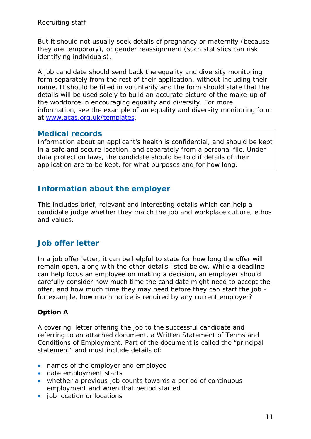But it should not usually seek details of pregnancy or maternity (because they are temporary), or gender reassignment (such statistics can risk identifying individuals).

A job candidate should send back the equality and diversity monitoring form separately from the rest of their application, without including their name. It should be filled in voluntarily and the form should state that the details will be used solely to build an accurate picture of the make-up of the workforce in encouraging equality and diversity. For more information, see the example of an equality and diversity monitoring form at [www.acas.org.uk/templates.](http://www.acas.org.uk/templates)

### **Medical records**

Information about an applicant's health is confidential, and should be kept in a safe and secure location, and separately from a personal file. Under data protection laws, the candidate should be told if details of their application are to be kept, for what purposes and for how long.

## <span id="page-10-0"></span>**Information about the employer**

This includes brief, relevant and interesting details which can help a candidate judge whether they match the job and workplace culture, ethos and values.

## <span id="page-10-1"></span>**Job offer letter**

In a job offer letter, it can be helpful to state for how long the offer will remain open, along with the other details listed below. While a deadline can help focus an employee on making a decision, an employer should carefully consider how much time the candidate might need to accept the offer, and how much time they may need before they can start the job – for example, how much notice is required by any current employer?

### **Option A**

A covering letter offering the job to the successful candidate and referring to an attached document, a Written Statement of Terms and Conditions of Employment. Part of the document is called the "principal statement" and must include details of:

- names of the employer and employee
- date employment starts
- whether a previous job counts towards a period of continuous employment and when that period started
- job location or locations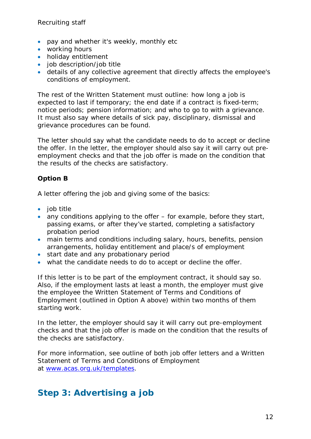- pay and whether it's weekly, monthly etc
- working hours
- holiday entitlement
- job description/job title
- details of any collective agreement that directly affects the employee's conditions of employment.

The rest of the Written Statement must outline: how long a job is expected to last if temporary; the end date if a contract is fixed-term; notice periods; pension information; and who to go to with a grievance. It must also say where details of sick pay, disciplinary, dismissal and grievance procedures can be found.

The letter should say what the candidate needs to do to accept or decline the offer. In the letter, the employer should also say it will carry out preemployment checks and that the job offer is made on the condition that the results of the checks are satisfactory.

### **Option B**

A letter offering the job and giving some of the basics:

- job title
- any conditions applying to the offer for example, before they start, passing exams, or after they've started, completing a satisfactory probation period
- main terms and conditions including salary, hours, benefits, pension arrangements, holiday entitlement and place/s of employment
- start date and any probationary period
- what the candidate needs to do to accept or decline the offer.

If this letter is to be part of the employment contract, it should say so. Also, if the employment lasts at least a month, the employer must give the employee the Written Statement of Terms and Conditions of Employment (outlined in Option A above) within two months of them starting work.

In the letter, the employer should say it will carry out pre-employment checks and that the job offer is made on the condition that the results of the checks are satisfactory.

For more information, see outline of both job offer letters and a Written Statement of Terms and Conditions of Employment at [www.acas.org.uk/templates.](http://www.acas.org.uk/templates)

## <span id="page-11-0"></span>**Step 3: Advertising a job**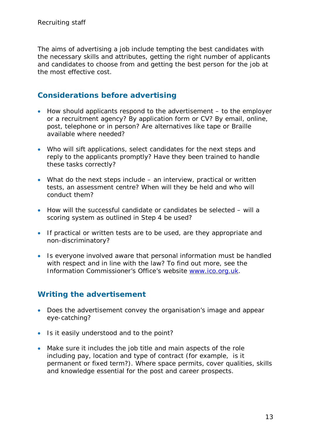The aims of advertising a job include tempting the best candidates with the necessary skills and attributes, getting the right number of applicants and candidates to choose from and getting the best person for the job at the most effective cost.

## <span id="page-12-0"></span>**Considerations before advertising**

- How should applicants respond to the advertisement to the employer or a recruitment agency? By application form or CV? By email, online, post, telephone or in person? Are alternatives like tape or Braille available where needed?
- Who will sift applications, select candidates for the next steps and reply to the applicants promptly? Have they been trained to handle these tasks correctly?
- What do the next steps include an interview, practical or written tests, an assessment centre? When will they be held and who will conduct them?
- How will the successful candidate or candidates be selected will a scoring system as outlined in Step 4 be used?
- If practical or written tests are to be used, are they appropriate and non-discriminatory?
- Is everyone involved aware that personal information must be handled with respect and in line with the law? To find out more, see the Information Commissioner's Office's website [www.ico.org.uk.](http://www.ico.org.uk/)

## <span id="page-12-1"></span>**Writing the advertisement**

- Does the advertisement convey the organisation's image and appear eye-catching?
- Is it easily understood and to the point?
- Make sure it includes the job title and main aspects of the role including pay, location and type of contract (for example, is it permanent or fixed term?). Where space permits, cover qualities, skills and knowledge essential for the post and career prospects.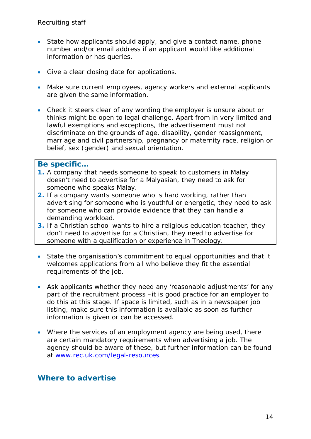- State how applicants should apply, and give a contact name, phone number and/or email address if an applicant would like additional information or has queries.
- Give a clear closing date for applications.
- Make sure current employees, agency workers and external applicants are given the same information.
- Check it steers clear of any wording the employer is unsure about or thinks might be open to legal challenge. Apart from in very limited and lawful exemptions and exceptions, the advertisement must not discriminate on the grounds of age, disability, gender reassignment, marriage and civil partnership, pregnancy or maternity race, religion or belief, sex (gender) and sexual orientation.

#### **Be specific…**

- **1.** A company that needs someone to speak to customers in Malay doesn't need to advertise for a Malyasian, they need to ask for someone who speaks Malay.
- **2.** If a company wants someone who is hard working, rather than advertising for someone who is youthful or energetic, they need to ask for someone who can provide evidence that they can handle a demanding workload.
- **3.** If a Christian school wants to hire a religious education teacher, they don't need to advertise for a Christian, they need to advertise for someone with a qualification or experience in Theology.
- State the organisation's commitment to equal opportunities and that it welcomes applications from all who believe they fit the essential requirements of the job.
- Ask applicants whether they need any 'reasonable adjustments' for any part of the recruitment process –it is good practice for an employer to do this at this stage. If space is limited, such as in a newspaper job listing, make sure this information is available as soon as further information is given or can be accessed.
- Where the services of an employment agency are being used, there are certain mandatory requirements when advertising a job. The agency should be aware of these, but further information can be found at [www.rec.uk.com/legal-resources.](http://www.rec.uk.com/legal-resources)

### <span id="page-13-0"></span>**Where to advertise**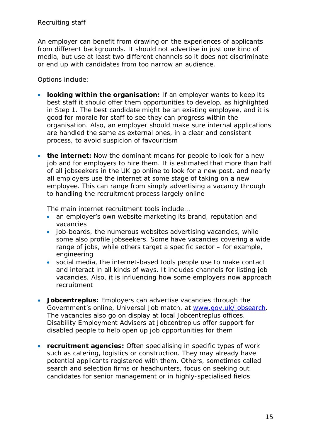An employer can benefit from drawing on the experiences of applicants from different backgrounds. It should not advertise in just one kind of media, but use at least two different channels so it does not discriminate or end up with candidates from too narrow an audience.

Options include:

- **looking within the organisation:** If an employer wants to keep its best staff it should offer them opportunities to develop, as highlighted in Step 1. The best candidate might be an existing employee, and it is good for morale for staff to see they can progress within the organisation. Also, an employer should make sure internal applications are handled the same as external ones, in a clear and consistent process, to avoid suspicion of favouritism
- **the internet:** Now the dominant means for people to look for a new job and for employers to hire them. It is estimated that more than half of all jobseekers in the UK go online to look for a new post, and nearly all employers use the internet at some stage of taking on a new employee. This can range from simply advertising a vacancy through to handling the recruitment process largely online

The main internet recruitment tools include…

- an employer's own website marketing its brand, reputation and vacancies
- job-boards, the numerous websites advertising vacancies, while some also profile jobseekers. Some have vacancies covering a wide range of jobs, while others target a specific sector – for example, engineering
- social media, the internet-based tools people use to make contact and interact in all kinds of ways. It includes channels for listing job vacancies. Also, it is influencing how some employers now approach recruitment
- **Jobcentreplus:** Employers can advertise vacancies through the Government's online, Universal Job match, at [www.gov.uk/jobsearch.](http://www.gov.uk/jobsearch) The vacancies also go on display at local Jobcentreplus offices. Disability Employment Advisers at Jobcentreplus offer support for disabled people to help open up job opportunities for them
- **recruitment agencies:** Often specialising in specific types of work such as catering, logistics or construction. They may already have potential applicants registered with them. Others, sometimes called search and selection firms or headhunters, focus on seeking out candidates for senior management or in highly-specialised fields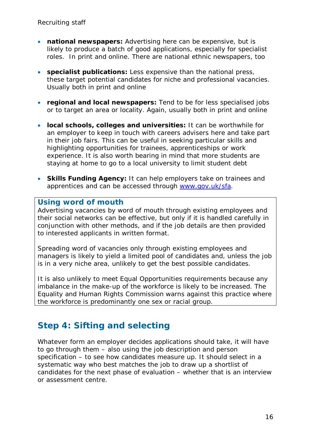- **national newspapers:** Advertising here can be expensive, but is likely to produce a batch of good applications, especially for specialist roles. In print and online. There are national ethnic newspapers, too
- **specialist publications:** Less expensive than the national press, these target potential candidates for niche and professional vacancies. Usually both in print and online
- **regional and local newspapers:** Tend to be for less specialised jobs or to target an area or locality. Again, usually both in print and online
- **local schools, colleges and universities:** It can be worthwhile for an employer to keep in touch with careers advisers here and take part in their job fairs. This can be useful in seeking particular skills and highlighting opportunities for trainees, apprenticeships or work experience. It is also worth bearing in mind that more students are staying at home to go to a local university to limit student debt
- **Skills Funding Agency:** It can help employers take on trainees and apprentices and can be accessed through [www.gov.uk/sfa.](http://www.gov.uk/sfa)

### **Using word of mouth**

Advertising vacancies by word of mouth through existing employees and their social networks can be effective, but only if it is handled carefully in conjunction with other methods, and if the job details are then provided to interested applicants in written format.

Spreading word of vacancies only through existing employees and managers is likely to yield a limited pool of candidates and, unless the job is in a very niche area, unlikely to get the best possible candidates.

It is also unlikely to meet Equal Opportunities requirements because any imbalance in the make-up of the workforce is likely to be increased. The Equality and Human Rights Commission warns against this practice where the workforce is predominantly one sex or racial group.

## <span id="page-15-0"></span>**Step 4: Sifting and selecting**

Whatever form an employer decides applications should take, it will have to go through them – also using the job description and person specification – to see how candidates measure up. It should select in a systematic way who best matches the job to draw up a shortlist of candidates for the next phase of evaluation – whether that is an interview or assessment centre.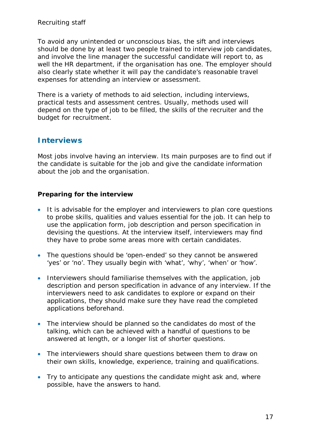To avoid any unintended or unconscious bias, the sift and interviews should be done by at least two people trained to interview job candidates, and involve the line manager the successful candidate will report to, as well the HR department, if the organisation has one. The employer should also clearly state whether it will pay the candidate's reasonable travel expenses for attending an interview or assessment.

There is a variety of methods to aid selection, including interviews, practical tests and assessment centres. Usually, methods used will depend on the type of job to be filled, the skills of the recruiter and the budget for recruitment.

## <span id="page-16-0"></span>**Interviews**

Most jobs involve having an interview. Its main purposes are to find out if the candidate is suitable for the job and give the candidate information about the job and the organisation.

#### **Preparing for the interview**

- It is advisable for the employer and interviewers to plan core questions to probe skills, qualities and values essential for the job. It can help to use the application form, job description and person specification in devising the questions. At the interview itself, interviewers may find they have to probe some areas more with certain candidates.
- The questions should be 'open-ended' so they cannot be answered 'yes' or 'no'. They usually begin with 'what', 'why', 'when' or 'how'.
- Interviewers should familiarise themselves with the application, job description and person specification in advance of any interview. If the interviewers need to ask candidates to explore or expand on their applications, they should make sure they have read the completed applications beforehand.
- The interview should be planned so the candidates do most of the talking, which can be achieved with a handful of questions to be answered at length, or a longer list of shorter questions.
- The interviewers should share questions between them to draw on their own skills, knowledge, experience, training and qualifications.
- Try to anticipate any questions the candidate might ask and, where possible, have the answers to hand.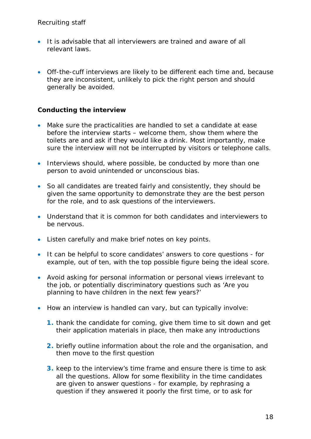- It is advisable that all interviewers are trained and aware of all relevant laws.
- Off-the-cuff interviews are likely to be different each time and, because they are inconsistent, unlikely to pick the right person and should generally be avoided.

#### **Conducting the interview**

- Make sure the practicalities are handled to set a candidate at ease before the interview starts – welcome them, show them where the toilets are and ask if they would like a drink. Most importantly, make sure the interview will not be interrupted by visitors or telephone calls.
- Interviews should, where possible, be conducted by more than one person to avoid unintended or unconscious bias.
- So all candidates are treated fairly and consistently, they should be given the same opportunity to demonstrate they are the best person for the role, and to ask questions of the interviewers.
- Understand that it is common for both candidates and interviewers to be nervous.
- Listen carefully and make brief notes on key points.
- It can be helpful to score candidates' answers to core questions for example, out of ten, with the top possible figure being the ideal score.
- Avoid asking for personal information or personal views irrelevant to the job, or potentially discriminatory questions such as 'Are you planning to have children in the next few years?'
- How an interview is handled can vary, but can typically involve:
	- **1.** thank the candidate for coming, give them time to sit down and get their application materials in place, then make any introductions
	- **2.** briefly outline information about the role and the organisation, and then move to the first question
	- **3.** keep to the interview's time frame and ensure there is time to ask all the questions. Allow for some flexibility in the time candidates are given to answer questions - for example, by rephrasing a question if they answered it poorly the first time, or to ask for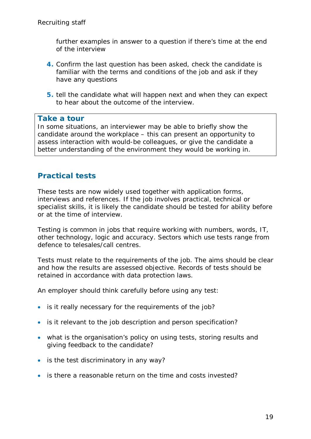further examples in answer to a question if there's time at the end of the interview

- **4.** Confirm the last question has been asked, check the candidate is familiar with the terms and conditions of the job and ask if they have any questions
- **5.** tell the candidate what will happen next and when they can expect to hear about the outcome of the interview.

#### **Take a tour**

In some situations, an interviewer may be able to briefly show the candidate around the workplace – this can present an opportunity to assess interaction with would-be colleagues, or give the candidate a better understanding of the environment they would be working in.

### <span id="page-18-0"></span>**Practical tests**

These tests are now widely used together with application forms, interviews and references. If the job involves practical, technical or specialist skills, it is likely the candidate should be tested for ability before or at the time of interview.

Testing is common in jobs that require working with numbers, words, IT, other technology, logic and accuracy. Sectors which use tests range from defence to telesales/call centres.

Tests must relate to the requirements of the job. The aims should be clear and how the results are assessed objective. Records of tests should be retained in accordance with data protection laws.

An employer should think carefully before using any test:

- is it really necessary for the requirements of the job?
- is it relevant to the job description and person specification?
- what is the organisation's policy on using tests, storing results and giving feedback to the candidate?
- is the test discriminatory in any way?
- is there a reasonable return on the time and costs invested?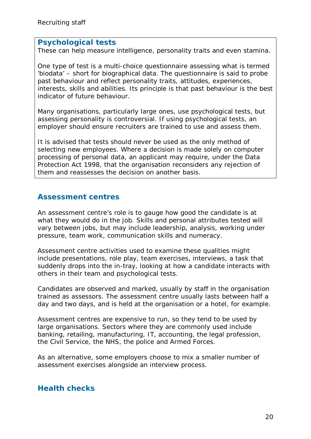#### **Psychological tests**

These can help measure intelligence, personality traits and even stamina.

One type of test is a multi-choice questionnaire assessing what is termed 'biodata' – short for biographical data. The questionnaire is said to probe past behaviour and reflect personality traits, attitudes, experiences, interests, skills and abilities. Its principle is that past behaviour is the best indicator of future behaviour.

Many organisations, particularly large ones, use psychological tests, but assessing personality is controversial. If using psychological tests, an employer should ensure recruiters are trained to use and assess them.

It is advised that tests should never be used as the only method of selecting new employees. Where a decision is made solely on computer processing of personal data, an applicant may require, under the Data Protection Act 1998, that the organisation reconsiders any rejection of them and reassesses the decision on another basis.

## <span id="page-19-0"></span>**Assessment centres**

An assessment centre's role is to gauge how good the candidate is at what they would do in the job. Skills and personal attributes tested will vary between jobs, but may include leadership, analysis, working under pressure, team work, communication skills and numeracy.

Assessment centre activities used to examine these qualities might include presentations, role play, team exercises, interviews, a task that suddenly drops into the in-tray, looking at how a candidate interacts with others in their team and psychological tests.

Candidates are observed and marked, usually by staff in the organisation trained as assessors. The assessment centre usually lasts between half a day and two days, and is held at the organisation or a hotel, for example.

Assessment centres are expensive to run, so they tend to be used by large organisations. Sectors where they are commonly used include banking, retailing, manufacturing, IT, accounting, the legal profession, the Civil Service, the NHS, the police and Armed Forces.

As an alternative, some employers choose to mix a smaller number of assessment exercises alongside an interview process.

## <span id="page-19-1"></span>**Health checks**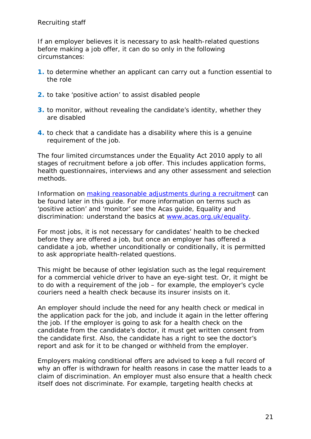If an employer believes it is necessary to ask health-related questions before making a job offer, it can do so only in the following circumstances:

- **1.** to determine whether an applicant can carry out a function essential to the role
- **2.** to take 'positive action' to assist disabled people
- **3.** to monitor, without revealing the candidate's identity, whether they are disabled
- **4.** to check that a candidate has a disability where this is a genuine requirement of the job.

The four limited circumstances under the Equality Act 2010 apply to all stages of recruitment before a job offer. This includes application forms, health questionnaires, interviews and any other assessment and selection methods.

Information on [making reasonable adjustments during a recruitment](#page-26-0) can be found later in this guide. For more information on terms such as 'positive action' and 'monitor' see the Acas guide, Equality and discrimination: understand the basics at [www.acas.org.uk/equality.](http://www.acas.org.uk/equality)

For most jobs, it is not necessary for candidates' health to be checked before they are offered a job, but once an employer has offered a candidate a job, whether unconditionally or conditionally, it is permitted to ask appropriate health-related questions.

This might be because of other legislation such as the legal requirement for a commercial vehicle driver to have an eye-sight test. Or, it might be to do with a requirement of the job – for example, the employer's cycle couriers need a health check because its insurer insists on it.

An employer should include the need for any health check or medical in the application pack for the job, and include it again in the letter offering the job. If the employer is going to ask for a health check on the candidate from the candidate's doctor, it must get written consent from the candidate first. Also, the candidate has a right to see the doctor's report and ask for it to be changed or withheld from the employer.

Employers making conditional offers are advised to keep a full record of why an offer is withdrawn for health reasons in case the matter leads to a claim of discrimination. An employer must also ensure that a health check itself does not discriminate. For example, targeting health checks at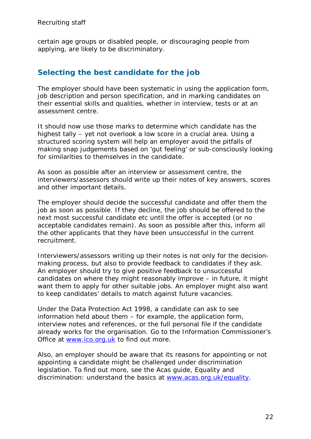certain age groups or disabled people, or discouraging people from applying, are likely to be discriminatory.

## <span id="page-21-0"></span>**Selecting the best candidate for the job**

The employer should have been systematic in using the application form, job description and person specification, and in marking candidates on their essential skills and qualities, whether in interview, tests or at an assessment centre.

It should now use those marks to determine which candidate has the highest tally – yet not overlook a low score in a crucial area. Using a structured scoring system will help an employer avoid the pitfalls of making snap judgements based on 'gut feeling' or sub-consciously looking for similarities to themselves in the candidate.

As soon as possible after an interview or assessment centre, the interviewers/assessors should write up their notes of key answers, scores and other important details.

The employer should decide the successful candidate and offer them the job as soon as possible. If they decline, the job should be offered to the next most successful candidate etc until the offer is accepted (or no acceptable candidates remain). As soon as possible after this, inform all the other applicants that they have been unsuccessful in the current recruitment.

Interviewers/assessors writing up their notes is not only for the decisionmaking process, but also to provide feedback to candidates if they ask. An employer should try to give positive feedback to unsuccessful candidates on where they might reasonably improve – in future, it might want them to apply for other suitable jobs. An employer might also want to keep candidates' details to match against future vacancies.

Under the Data Protection Act 1998, a candidate can ask to see information held about them – for example, the application form, interview notes and references, or the full personal file if the candidate already works for the organisation. Go to the Information Commissioner's Office at [www.ico.org.uk](http://www.ico.org.uk/) to find out more.

Also, an employer should be aware that its reasons for appointing or not appointing a candidate might be challenged under discrimination legislation. To find out more, see the Acas guide, Equality and discrimination: understand the basics at [www.acas.org.uk/equality.](http://www.acas.org.uk/equality)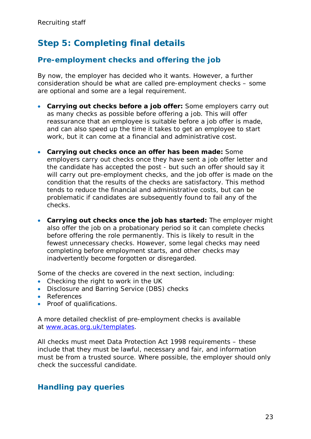## <span id="page-22-0"></span>**Step 5: Completing final details**

## <span id="page-22-1"></span>**Pre-employment checks and offering the job**

By now, the employer has decided who it wants. However, a further consideration should be what are called pre-employment checks – some are optional and some are a legal requirement.

- **Carrying out checks before a job offer:** Some employers carry out as many checks as possible before offering a job. This will offer reassurance that an employee is suitable before a job offer is made, and can also speed up the time it takes to get an employee to start work, but it can come at a financial and administrative cost.
- **Carrying out checks once an offer has been made:** Some employers carry out checks once they have sent a job offer letter and the candidate has accepted the post - but such an offer should say it will carry out pre-employment checks, and the job offer is made on the condition that the results of the checks are satisfactory. This method tends to reduce the financial and administrative costs, but can be problematic if candidates are subsequently found to fail any of the checks.
- **Carrying out checks once the job has started:** The employer might also offer the job on a probationary period so it can complete checks before offering the role permanently. This is likely to result in the fewest unnecessary checks. However, some legal checks may need completing before employment starts, and other checks may inadvertently become forgotten or disregarded.

Some of the checks are covered in the next section, including:

- Checking the right to work in the UK
- Disclosure and Barring Service (DBS) checks
- References
- Proof of qualifications.

A more detailed checklist of pre-employment checks is available at [www.acas.org.uk/templates.](http://www.acas.org.uk/templates)

All checks must meet Data Protection Act 1998 requirements – these include that they must be lawful, necessary and fair, and information must be from a trusted source. Where possible, the employer should only check the successful candidate.

## <span id="page-22-2"></span>**Handling pay queries**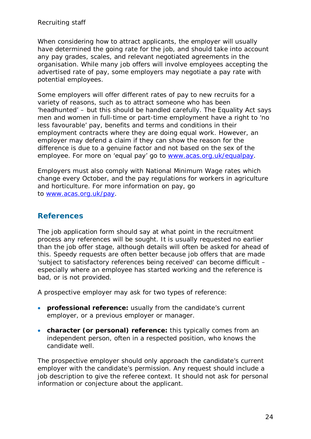When considering how to attract applicants, the employer will usually have determined the going rate for the job, and should take into account any pay grades, scales, and relevant negotiated agreements in the organisation. While many job offers will involve employees accepting the advertised rate of pay, some employers may negotiate a pay rate with potential employees.

Some employers will offer different rates of pay to new recruits for a variety of reasons, such as to attract someone who has been 'headhunted' – but this should be handled carefully. The Equality Act says men and women in full-time or part-time employment have a right to 'no less favourable' pay, benefits and terms and conditions in their employment contracts where they are doing equal work. However, an employer may defend a claim if they can show the reason for the difference is due to a genuine factor and not based on the sex of the employee. For more on 'equal pay' go to [www.acas.org.uk/equalpay.](http://www.acas.org.uk/equalpay)

Employers must also comply with National Minimum Wage rates which change every October, and the pay regulations for workers in agriculture and horticulture. For more information on pay, go to [www.acas.org.uk/pay.](http://www.acas.org.uk/pay)

## <span id="page-23-0"></span>**References**

The job application form should say at what point in the recruitment process any references will be sought. It is usually requested no earlier than the job offer stage, although details will often be asked for ahead of this. Speedy requests are often better because job offers that are made 'subject to satisfactory references being received' can become difficult – especially where an employee has started working and the reference is bad, or is not provided.

A prospective employer may ask for two types of reference:

- **professional reference:** usually from the candidate's current employer, or a previous employer or manager.
- **character (or personal) reference:** this typically comes from an independent person, often in a respected position, who knows the candidate well.

The prospective employer should only approach the candidate's current employer with the candidate's permission. Any request should include a job description to give the referee context. It should not ask for personal information or conjecture about the applicant.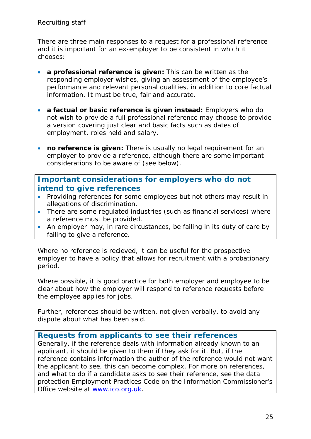There are three main responses to a request for a professional reference and it is important for an ex-employer to be consistent in which it chooses:

- **a professional reference is given:** This can be written as the responding employer wishes, giving an assessment of the employee's performance and relevant personal qualities, in addition to core factual information. It must be true, fair and accurate.
- **a factual or basic reference is given instead:** Employers who do not wish to provide a full professional reference may choose to provide a version covering just clear and basic facts such as dates of employment, roles held and salary.
- **no reference is given:** There is usually no legal requirement for an employer to provide a reference, although there are some important considerations to be aware of (see below).

## **Important considerations for employers who do not intend to give references**

- Providing references for some employees but not others may result in allegations of discrimination.
- There are some regulated industries (such as financial services) where a reference must be provided.
- An employer may, in rare circustances, be failing in its duty of care by failing to give a reference.

Where no reference is recieved, it can be useful for the prospective employer to have a policy that allows for recruitment with a probationary period.

Where possible, it is good practice for both employer and employee to be clear about how the employer will respond to reference requests before the employee applies for jobs.

Further, references should be written, not given verbally, to avoid any dispute about what has been said.

### **Requests from applicants to see their references**

Generally, if the reference deals with information already known to an applicant, it should be given to them if they ask for it. But, if the reference contains information the author of the reference would not want the applicant to see, this can become complex. For more on references, and what to do if a candidate asks to see their reference, see the data protection Employment Practices Code on the Information Commissioner's Office website at [www.ico.org.uk.](http://www.ico.org.uk/)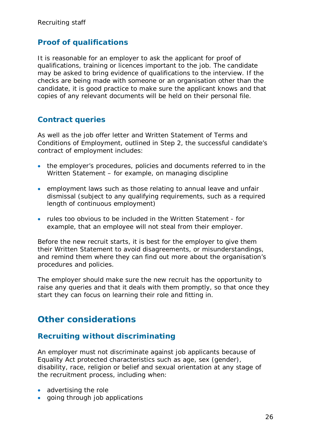## <span id="page-25-0"></span>**Proof of qualifications**

It is reasonable for an employer to ask the applicant for proof of qualifications, training or licences important to the job. The candidate may be asked to bring evidence of qualifications to the interview. If the checks are being made with someone or an organisation other than the candidate, it is good practice to make sure the applicant knows and that copies of any relevant documents will be held on their personal file.

## <span id="page-25-1"></span>**Contract queries**

As well as the job offer letter and Written Statement of Terms and Conditions of Employment, outlined in Step 2, the successful candidate's contract of employment includes:

- the employer's procedures, policies and documents referred to in the Written Statement – for example, on managing discipline
- employment laws such as those relating to annual leave and unfair dismissal (subject to any qualifying requirements, such as a required length of continuous employment)
- rules too obvious to be included in the Written Statement for example, that an employee will not steal from their employer.

Before the new recruit starts, it is best for the employer to give them their Written Statement to avoid disagreements, or misunderstandings, and remind them where they can find out more about the organisation's procedures and policies.

The employer should make sure the new recruit has the opportunity to raise any queries and that it deals with them promptly, so that once they start they can focus on learning their role and fitting in.

## <span id="page-25-2"></span>**Other considerations**

### <span id="page-25-3"></span>**Recruiting without discriminating**

An employer must not discriminate against job applicants because of Equality Act protected characteristics such as age, sex (gender), disability, race, religion or belief and sexual orientation at any stage of the recruitment process, including when:

- advertising the role
- going through job applications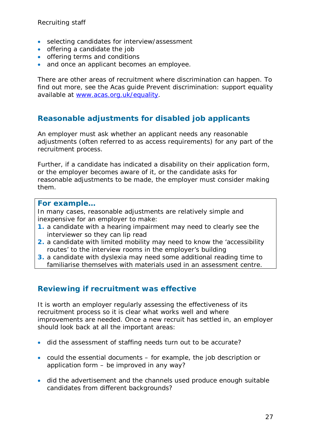- selecting candidates for interview/assessment
- offering a candidate the job
- offering terms and conditions
- and once an applicant becomes an employee.

There are other areas of recruitment where discrimination can happen. To find out more, see the Acas guide Prevent discrimination: support equality available at [www.acas.org.uk/equality.](http://www.acas.org.uk/equality)

## <span id="page-26-0"></span>**Reasonable adjustments for disabled job applicants**

An employer must ask whether an applicant needs any reasonable adjustments (often referred to as access requirements) for any part of the recruitment process.

Further, if a candidate has indicated a disability on their application form, or the employer becomes aware of it, or the candidate asks for reasonable adjustments to be made, the employer must consider making them.

#### **For example…**

In many cases, reasonable adjustments are relatively simple and inexpensive for an employer to make:

- **1.** a candidate with a hearing impairment may need to clearly see the interviewer so they can lip read
- **2.** a candidate with limited mobility may need to know the 'accessibility routes' to the interview rooms in the employer's building
- **3.** a candidate with dyslexia may need some additional reading time to familiarise themselves with materials used in an assessment centre.

#### <span id="page-26-1"></span>**Reviewing if recruitment was effective**

It is worth an employer regularly assessing the effectiveness of its recruitment process so it is clear what works well and where improvements are needed. Once a new recruit has settled in, an employer should look back at all the important areas:

- did the assessment of staffing needs turn out to be accurate?
- could the essential documents for example, the job description or application form – be improved in any way?
- did the advertisement and the channels used produce enough suitable candidates from different backgrounds?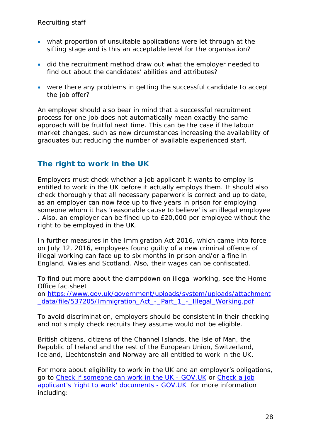- what proportion of unsuitable applications were let through at the sifting stage and is this an acceptable level for the organisation?
- did the recruitment method draw out what the employer needed to find out about the candidates' abilities and attributes?
- were there any problems in getting the successful candidate to accept the job offer?

An employer should also bear in mind that a successful recruitment process for one job does not automatically mean exactly the same approach will be fruitful next time. This can be the case if the labour market changes, such as new circumstances increasing the availability of graduates but reducing the number of available experienced staff.

## <span id="page-27-0"></span>**The right to work in the UK**

Employers must check whether a job applicant it wants to employ is entitled to work in the UK before it actually employs them. It should also check thoroughly that all necessary paperwork is correct and up to date, as an employer can now face up to five years in prison for employing someone whom it has 'reasonable cause to believe' is an illegal employee . Also, an employer can be fined up to £20,000 per employee without the right to be employed in the UK.

In further measures in the Immigration Act 2016, which came into force on July 12, 2016, employees found guilty of a new criminal offence of illegal working can face up to six months in prison and/or a fine in England, Wales and Scotland. Also, their wages can be confiscated.

To find out more about the clampdown on illegal working, see the Home Office factsheet on [https://www.gov.uk/government/uploads/system/uploads/attachment](https://www.gov.uk/government/uploads/system/uploads/attachment_data/file/537205/Immigration_Act_-_Part_1_-_Illegal_Working.pdf) data/file/537205/Immigration\_Act - Part 1 - Illegal Working.pdf

To avoid discrimination, employers should be consistent in their checking and not simply check recruits they assume would not be eligible.

British citizens, citizens of the Channel Islands, the Isle of Man, the Republic of Ireland and the rest of the European Union, Switzerland, Iceland, Liechtenstein and Norway are all entitled to work in the UK.

For more about eligibility to work in the UK and an employer's obligations, go to [Check if someone can work in the UK - GOV.UK](https://www.gov.uk/legal-right-work-uk) or [Check a job](https://www.gov.uk/check-job-applicant-right-to-work)  [applicant's 'right to work' documents - GOV.UK](https://www.gov.uk/check-job-applicant-right-to-work) for more information including: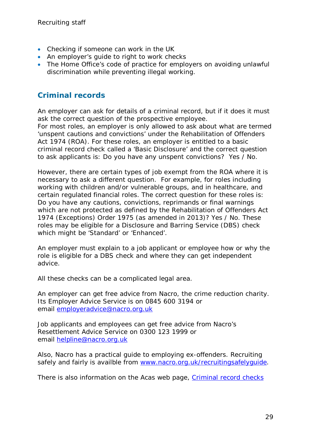- Checking if someone can work in the UK
- An employer's guide to right to work checks
- The Home Office's code of practice for employers on avoiding unlawful discrimination while preventing illegal working.

## <span id="page-28-0"></span>**Criminal records**

An employer can ask for details of a criminal record, but if it does it must ask the correct question of the prospective employee. For most roles, an employer is only allowed to ask about what are termed 'unspent cautions and convictions' under the Rehabilitation of Offenders Act 1974 (ROA). For these roles, an employer is entitled to a basic criminal record check called a 'Basic Disclosure' and the correct question to ask applicants is: Do you have any unspent convictions? Yes / No.

However, there are certain types of job exempt from the ROA where it is necessary to ask a different question. For example, for roles including working with children and/or vulnerable groups, and in healthcare, and certain regulated financial roles. The correct question for these roles is: Do you have any cautions, convictions, reprimands or final warnings which are not protected as defined by the Rehabilitation of Offenders Act 1974 (Exceptions) Order 1975 (as amended in 2013)? Yes / No. These roles may be eligible for a Disclosure and Barring Service (DBS) check which might be 'Standard' or 'Enhanced'.

An employer must explain to a job applicant or employee how or why the role is eligible for a DBS check and where they can get independent advice.

All these checks can be a complicated legal area.

An employer can get free advice from Nacro, the crime reduction charity. Its Employer Advice Service is on 0845 600 3194 or email [employeradvice@nacro.org.uk](mailto:employeradvice@nacro.org.uk)

Job applicants and employees can get free advice from Nacro's Resettlement Advice Service on 0300 123 1999 or email [helpline@nacro.org.uk](mailto:helpline@nacro.org.uk)

Also, Nacro has a practical guide to employing ex-offenders. Recruiting safely and fairly is availble from [www.nacro.org.uk/recruitingsafelyguide.](http://www.nacro.org.uk/recruitingsafelyguide)

<span id="page-28-1"></span>There is also information on the Acas web page, [Criminal record checks](http://www.acas.org.uk/index.aspx?articleid=4845)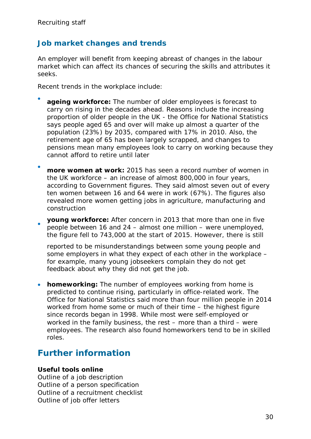## **Job market changes and trends**

An employer will benefit from keeping abreast of changes in the labour market which can affect its chances of securing the skills and attributes it seeks.

Recent trends in the workplace include:

- **ageing workforce:** The number of older employees is forecast to carry on rising in the decades ahead. Reasons include the increasing proportion of older people in the UK - the Office for National Statistics says people aged 65 and over will make up almost a quarter of the population (23%) by 2035, compared with 17% in 2010. Also, the retirement age of 65 has been largely scrapped, and changes to pensions mean many employees look to carry on working because they cannot afford to retire until later
- **more women at work:** 2015 has seen a record number of women in the UK workforce – an increase of almost 800,000 in four years, according to Government figures. They said almost seven out of every ten women between 16 and 64 were in work (67%). The figures also revealed more women getting jobs in agriculture, manufacturing and construction
- **young workforce:** After concern in 2013 that more than one in five people between 16 and 24 – almost one million – were unemployed, the figure fell to 743,000 at the start of 2015. However, there is still

reported to be misunderstandings between some young people and some employers in what they expect of each other in the workplace – for example, many young jobseekers complain they do not get feedback about why they did not get the job.

• **homeworking:** The number of employees working from home is predicted to continue rising, particularly in office-related work. The Office for National Statistics said more than four million people in 2014 worked from home some or much of their time – the highest figure since records began in 1998. While most were self-employed or worked in the family business, the rest – more than a third – were employees. The research also found homeworkers tend to be in skilled roles.

## <span id="page-29-0"></span>**Further information**

#### **Useful tools online**

Outline of a job description Outline of a person specification Outline of a recruitment checklist Outline of job offer letters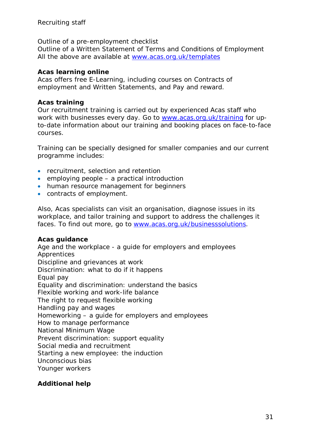Outline of a pre-employment checklist

Outline of a Written Statement of Terms and Conditions of Employment All the above are available at [www.acas.org.uk/templates](http://www.acas.org.uk/templates)

#### **Acas learning online**

Acas offers free E-Learning, including courses on Contracts of employment and Written Statements, and Pay and reward.

#### **Acas training**

Our recruitment training is carried out by experienced Acas staff who work with businesses every day. Go to [www.acas.org.uk/training](http://www.acas.org.uk/training) for upto-date information about our training and booking places on face-to-face courses.

Training can be specially designed for smaller companies and our current programme includes:

- recruitment, selection and retention
- employing people a practical introduction
- human resource management for beginners
- contracts of employment.

Also, Acas specialists can visit an organisation, diagnose issues in its workplace, and tailor training and support to address the challenges it faces. To find out more, go to [www.acas.org.uk/businesssolutions.](http://www.acas.org.uk/businesssolutions)

#### **Acas guidance**

Age and the workplace - a guide for employers and employees **Apprentices** Discipline and grievances at work Discrimination: what to do if it happens Equal pay Equality and discrimination: understand the basics Flexible working and work-life balance The right to request flexible working Handling pay and wages Homeworking – a guide for employers and employees How to manage performance National Minimum Wage Prevent discrimination: support equality Social media and recruitment Starting a new employee: the induction Unconscious bias Younger workers

#### **Additional help**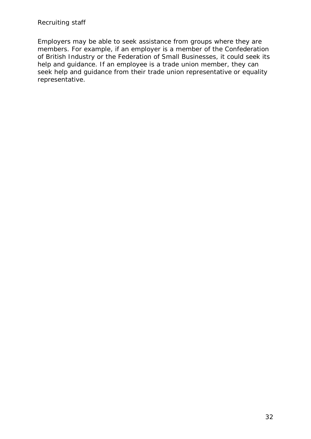Employers may be able to seek assistance from groups where they are members. For example, if an employer is a member of the Confederation of British Industry or the Federation of Small Businesses, it could seek its help and guidance. If an employee is a trade union member, they can seek help and guidance from their trade union representative or equality representative.